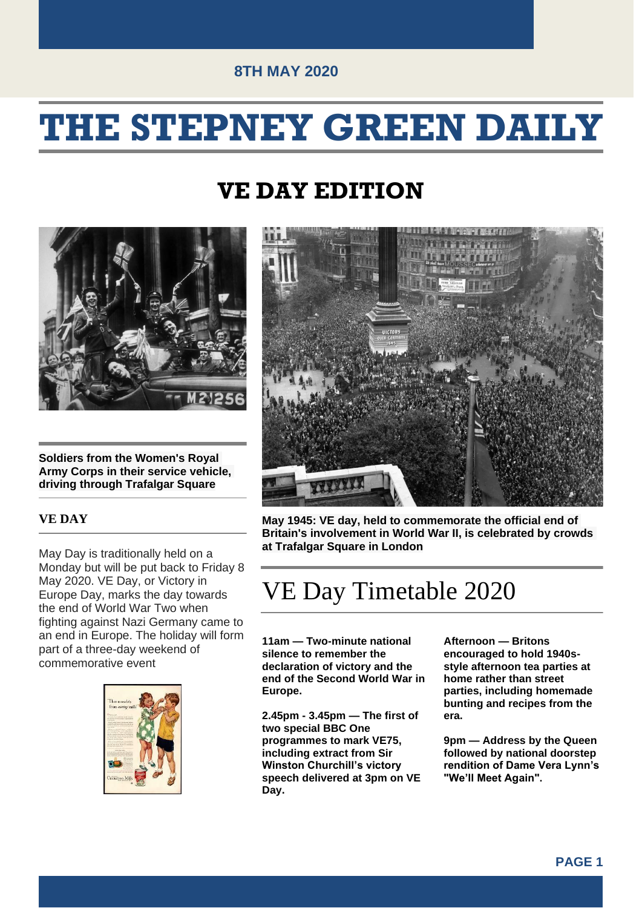## **THE STEPNEY GREEN DAILY**

### **VE DAY EDITION**



**Soldiers from the Women's Royal Army Corps in their service vehicle, driving through Trafalgar Square**

#### **VE DAY**

May Day is traditionally held on a Monday but will be put back to Friday 8 May 2020. VE Day, or Victory in Europe Day, marks the day towards the end of World War Two when fighting against Nazi Germany came to an end in Europe. The holiday will form part of a three-day weekend of commemorative event





**May 1945: VE day, held to commemorate the official end of Britain's involvement in World War II, is celebrated by crowds at Trafalgar Square in London**

### VE Day Timetable 2020

**11am — Two-minute national silence to remember the declaration of victory and the end of the Second World War in Europe.**

**2.45pm - 3.45pm — The first of two special BBC One programmes to mark VE75, including extract from Sir Winston Churchill's victory speech delivered at 3pm on VE Day.**

**Afternoon — Britons encouraged to hold 1940sstyle afternoon tea parties at home rather than street parties, including homemade bunting and recipes from the era.**

**9pm — Address by the Queen followed by national doorstep rendition of Dame Vera Lynn's "We'll Meet Again".**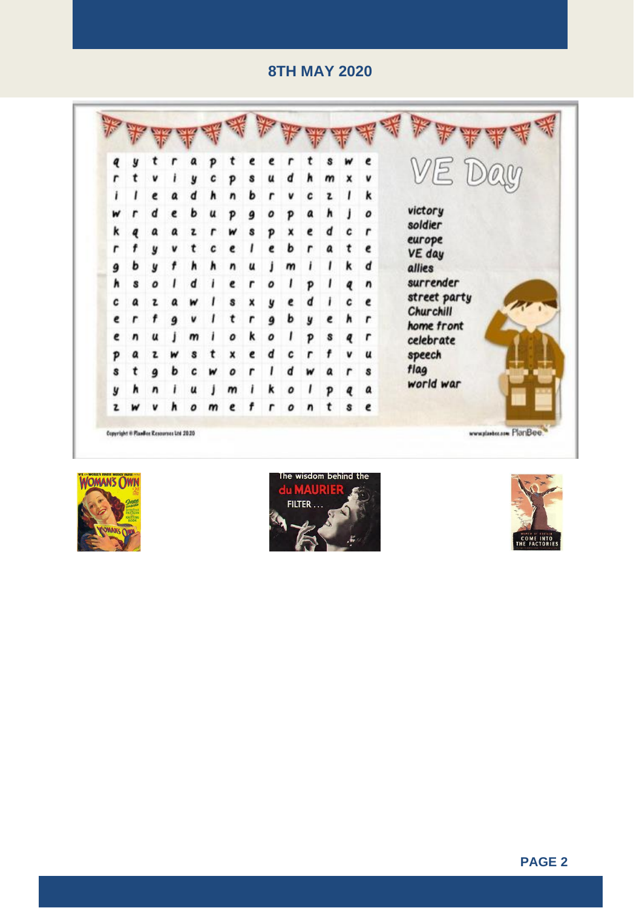





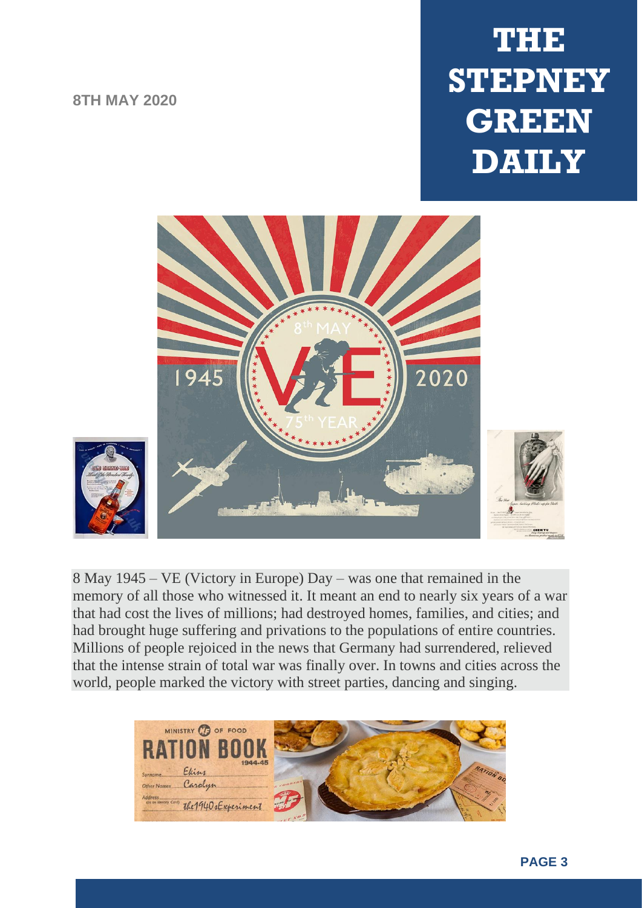## **THE STEPNEY GREEN DAILY**



8 May 1945 – VE (Victory in Europe) Day – was one that remained in the memory of all those who witnessed it. It meant an end to nearly six years of a war that had cost the lives of millions; had destroyed homes, families, and cities; and had brought huge suffering and privations to the populations of entire countries. Millions of people rejoiced in the news that Germany had surrendered, relieved that the intense strain of total war was finally over. In towns and cities across the world, people marked the victory with street parties, dancing and singing.

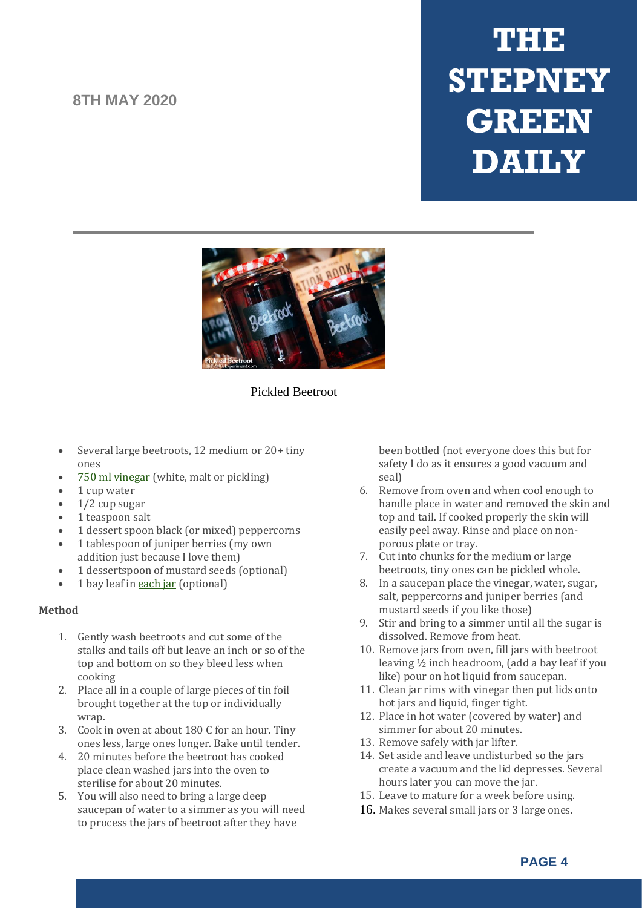# **THE STEPNEY GREEN DAILY**



#### Pickled Beetroot

- Several large beetroots, 12 medium or 20+ tiny ones
- 750 ml [vinegar](https://www.amazon.co.uk/shop/1940sexperiment) (white, malt or pickling)
- 1 cup water
- 1/2 cup sugar
- 1 teaspoon salt
- 1 dessert spoon black (or mixed) peppercorns
- 1 tablespoon of juniper berries (my own addition just because I love them)
- 1 dessertspoon of mustard seeds (optional)
- 1 bay leaf in [each](https://www.amazon.co.uk/shop/1940sexperiment) jar (optional)

#### **Method**

- 1. Gently wash beetroots and cut some of the stalks and tails off but leave an inch or so of the top and bottom on so they bleed less when cooking
- 2. Place all in a couple of large pieces of tin foil brought together at the top or individually wrap.
- 3. Cook in oven at about 180 C for an hour. Tiny ones less, large ones longer. Bake until tender.
- 4. 20 minutes before the beetroot has cooked place clean washed jars into the oven to sterilise for about 20 minutes.
- 5. You will also need to bring a large deep saucepan of water to a simmer as you will need to process the jars of beetroot after they have

been bottled (not everyone does this but for safety I do as it ensures a good vacuum and seal)

- 6. Remove from oven and when cool enough to handle place in water and removed the skin and top and tail. If cooked properly the skin will easily peel away. Rinse and place on nonporous plate or tray.
- 7. Cut into chunks for the medium or large beetroots, tiny ones can be pickled whole.
- 8. In a saucepan place the vinegar, water, sugar, salt, peppercorns and juniper berries (and mustard seeds if you like those)
- 9. Stir and bring to a simmer until all the sugar is dissolved. Remove from heat.
- 10. Remove jars from oven, fill jars with beetroot leaving ½ inch headroom, (add a bay leaf if you like) pour on hot liquid from saucepan.
- 11. Clean jar rims with vinegar then put lids onto hot jars and liquid, finger tight.
- 12. Place in hot water (covered by water) and simmer for about 20 minutes.
- 13. Remove safely with jar lifter.
- 14. Set aside and leave undisturbed so the jars create a vacuum and the lid depresses. Several hours later you can move the jar.
- 15. Leave to mature for a week before using.
- 16. Makes several small jars or 3 large ones.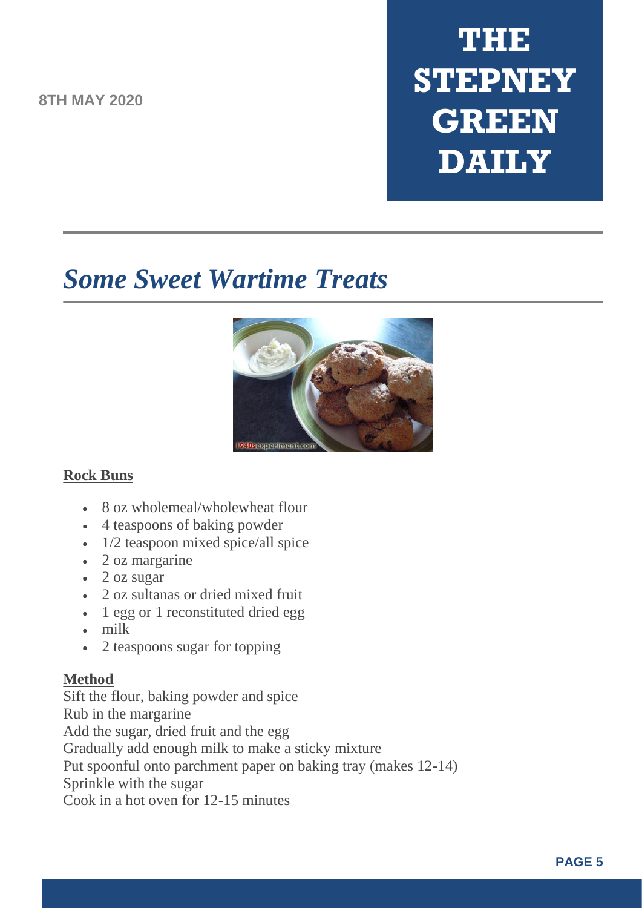# **THE STEPNEY GREEN DAILY**

## *Some Sweet Wartime Treats*



#### **Rock Buns**

- 8 oz wholemeal/wholewheat flour
- 4 teaspoons of baking powder
- 1/2 teaspoon mixed spice/all spice
- 2 oz margarine
- 2 oz sugar
- 2 oz sultanas or dried mixed fruit
- 1 egg or 1 reconstituted dried egg
- milk
- 2 teaspoons sugar for topping

#### **Method**

Sift the flour, baking powder and spice Rub in the margarine Add the sugar, dried fruit and the egg Gradually add enough milk to make a sticky mixture Put spoonful onto parchment paper on baking tray (makes 12-14) Sprinkle with the sugar Cook in a hot oven for 12-15 minutes